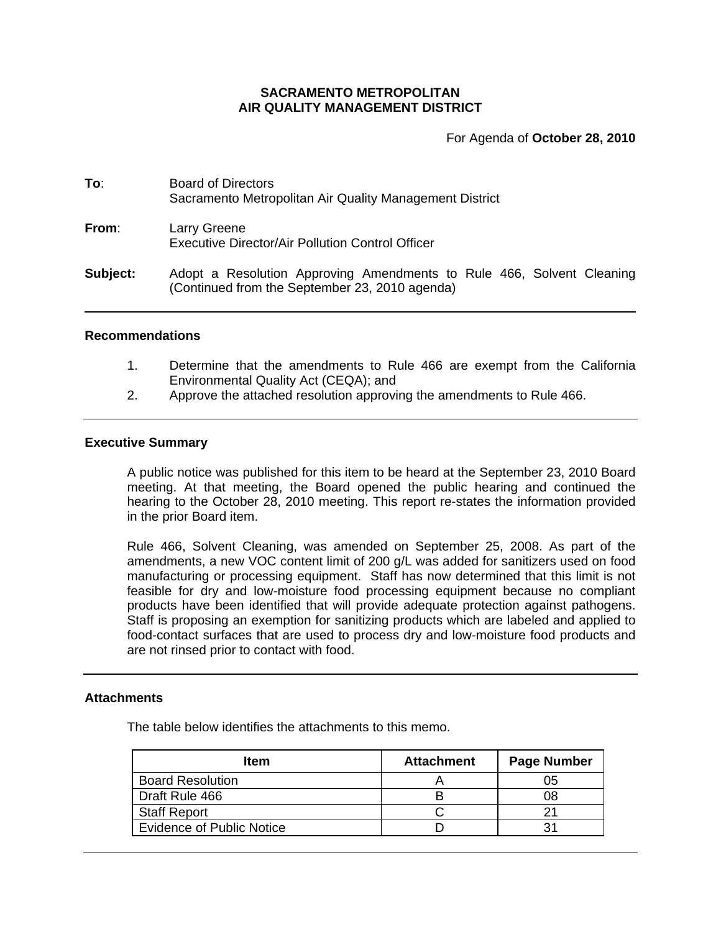# **SACRAMENTO METROPOLITAN AIR QUALITY MANAGEMENT DISTRICT**

For Agenda of **October 28, 2010**

| To:      | <b>Board of Directors</b><br>Sacramento Metropolitan Air Quality Management District<br>Larry Greene<br>Executive Director/Air Pollution Control Officer |  |  |
|----------|----------------------------------------------------------------------------------------------------------------------------------------------------------|--|--|
| From:    |                                                                                                                                                          |  |  |
| Subject: | Adopt a Resolution Approving Amendments to Rule 466, Solvent Cleaning<br>(Continued from the September 23, 2010 agenda)                                  |  |  |

#### **Recommendations**

- 1. Determine that the amendments to Rule 466 are exempt from the California Environmental Quality Act (CEQA); and
- 2. Approve the attached resolution approving the amendments to Rule 466.

### **Executive Summary**

A public notice was published for this item to be heard at the September 23, 2010 Board meeting. At that meeting, the Board opened the public hearing and continued the hearing to the October 28, 2010 meeting. This report re-states the information provided in the prior Board item.

Rule 466, Solvent Cleaning, was amended on September 25, 2008. As part of the amendments, a new VOC content limit of 200 g/L was added for sanitizers used on food manufacturing or processing equipment. Staff has now determined that this limit is not feasible for dry and low-moisture food processing equipment because no compliant products have been identified that will provide adequate protection against pathogens. Staff is proposing an exemption for sanitizing products which are labeled and applied to food-contact surfaces that are used to process dry and low-moisture food products and are not rinsed prior to contact with food.

### **Attachments**

The table below identifies the attachments to this memo.

| <b>Item</b>                      | <b>Attachment</b> | <b>Page Number</b> |
|----------------------------------|-------------------|--------------------|
| <b>Board Resolution</b>          |                   | 05                 |
| Draft Rule 466                   |                   | 08                 |
| <b>Staff Report</b>              |                   | 21                 |
| <b>Evidence of Public Notice</b> |                   | 31                 |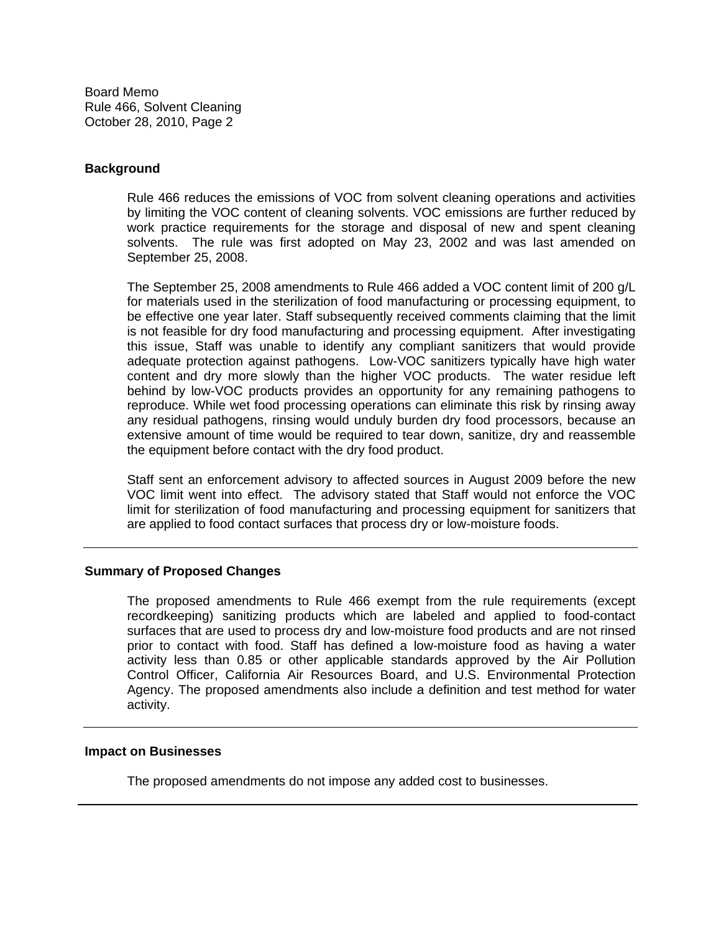Board Memo Rule 466, Solvent Cleaning October 28, 2010, Page 2

## **Background**

Rule 466 reduces the emissions of VOC from solvent cleaning operations and activities by limiting the VOC content of cleaning solvents. VOC emissions are further reduced by work practice requirements for the storage and disposal of new and spent cleaning solvents. The rule was first adopted on May 23, 2002 and was last amended on September 25, 2008.

The September 25, 2008 amendments to Rule 466 added a VOC content limit of 200 g/L for materials used in the sterilization of food manufacturing or processing equipment, to be effective one year later. Staff subsequently received comments claiming that the limit is not feasible for dry food manufacturing and processing equipment. After investigating this issue, Staff was unable to identify any compliant sanitizers that would provide adequate protection against pathogens. Low-VOC sanitizers typically have high water content and dry more slowly than the higher VOC products. The water residue left behind by low-VOC products provides an opportunity for any remaining pathogens to reproduce. While wet food processing operations can eliminate this risk by rinsing away any residual pathogens, rinsing would unduly burden dry food processors, because an extensive amount of time would be required to tear down, sanitize, dry and reassemble the equipment before contact with the dry food product.

Staff sent an enforcement advisory to affected sources in August 2009 before the new VOC limit went into effect. The advisory stated that Staff would not enforce the VOC limit for sterilization of food manufacturing and processing equipment for sanitizers that are applied to food contact surfaces that process dry or low-moisture foods.

## **Summary of Proposed Changes**

The proposed amendments to Rule 466 exempt from the rule requirements (except recordkeeping) sanitizing products which are labeled and applied to food-contact surfaces that are used to process dry and low-moisture food products and are not rinsed prior to contact with food. Staff has defined a low-moisture food as having a water activity less than 0.85 or other applicable standards approved by the Air Pollution Control Officer, California Air Resources Board, and U.S. Environmental Protection Agency. The proposed amendments also include a definition and test method for water activity.

## **Impact on Businesses**

The proposed amendments do not impose any added cost to businesses.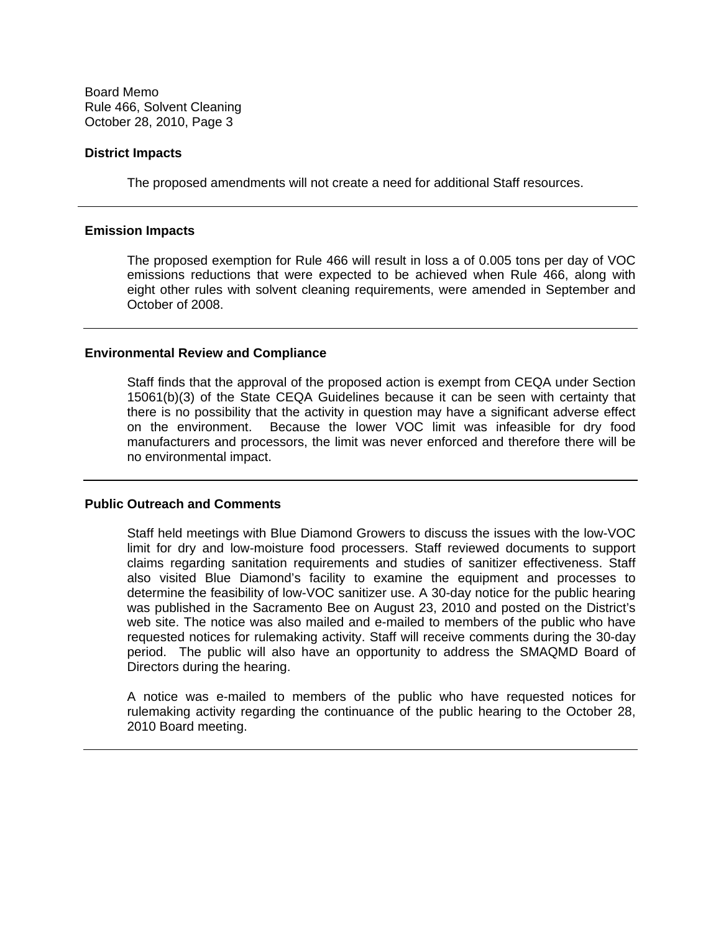Board Memo Rule 466, Solvent Cleaning October 28, 2010, Page 3

### **District Impacts**

The proposed amendments will not create a need for additional Staff resources.

### **Emission Impacts**

The proposed exemption for Rule 466 will result in loss a of 0.005 tons per day of VOC emissions reductions that were expected to be achieved when Rule 466, along with eight other rules with solvent cleaning requirements, were amended in September and October of 2008.

### **Environmental Review and Compliance**

Staff finds that the approval of the proposed action is exempt from CEQA under Section 15061(b)(3) of the State CEQA Guidelines because it can be seen with certainty that there is no possibility that the activity in question may have a significant adverse effect on the environment. Because the lower VOC limit was infeasible for dry food manufacturers and processors, the limit was never enforced and therefore there will be no environmental impact.

#### **Public Outreach and Comments**

Staff held meetings with Blue Diamond Growers to discuss the issues with the low-VOC limit for dry and low-moisture food processers. Staff reviewed documents to support claims regarding sanitation requirements and studies of sanitizer effectiveness. Staff also visited Blue Diamond's facility to examine the equipment and processes to determine the feasibility of low-VOC sanitizer use. A 30-day notice for the public hearing was published in the Sacramento Bee on August 23, 2010 and posted on the District's web site. The notice was also mailed and e-mailed to members of the public who have requested notices for rulemaking activity. Staff will receive comments during the 30-day period. The public will also have an opportunity to address the SMAQMD Board of Directors during the hearing.

A notice was e-mailed to members of the public who have requested notices for rulemaking activity regarding the continuance of the public hearing to the October 28, 2010 Board meeting.